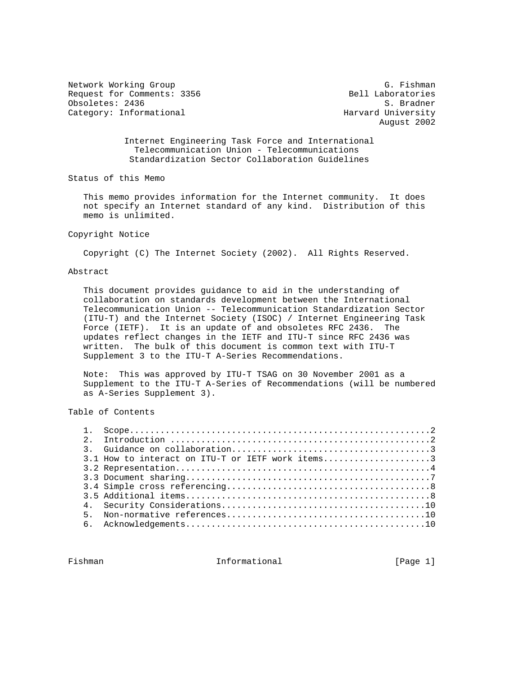Network Working Group G. Fishman G. Fishman Request for Comments: 3356 Bell Laboratories<br>
Obsoletes: 2436 S. Bradner Obsoletes: 2436 Category: Informational example and Harvard University

August 2002

 Internet Engineering Task Force and International Telecommunication Union - Telecommunications Standardization Sector Collaboration Guidelines

Status of this Memo

 This memo provides information for the Internet community. It does not specify an Internet standard of any kind. Distribution of this memo is unlimited.

## Copyright Notice

Copyright (C) The Internet Society (2002). All Rights Reserved.

### Abstract

 This document provides guidance to aid in the understanding of collaboration on standards development between the International Telecommunication Union -- Telecommunication Standardization Sector (ITU-T) and the Internet Society (ISOC) / Internet Engineering Task Force (IETF). It is an update of and obsoletes RFC 2436. The updates reflect changes in the IETF and ITU-T since RFC 2436 was written. The bulk of this document is common text with ITU-T Supplement 3 to the ITU-T A-Series Recommendations.

 Note: This was approved by ITU-T TSAG on 30 November 2001 as a Supplement to the ITU-T A-Series of Recommendations (will be numbered as A-Series Supplement 3).

Table of Contents

|  | 3.1 How to interact on ITU-T or IETF work items3 |  |
|--|--------------------------------------------------|--|
|  |                                                  |  |
|  |                                                  |  |
|  |                                                  |  |
|  |                                                  |  |
|  |                                                  |  |
|  |                                                  |  |
|  |                                                  |  |
|  |                                                  |  |

Fishman **Informational Informational** [Page 1]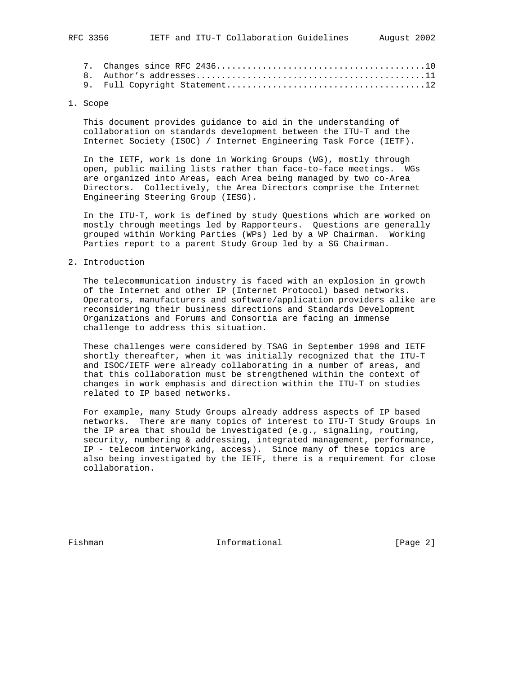#### 1. Scope

 This document provides guidance to aid in the understanding of collaboration on standards development between the ITU-T and the Internet Society (ISOC) / Internet Engineering Task Force (IETF).

 In the IETF, work is done in Working Groups (WG), mostly through open, public mailing lists rather than face-to-face meetings. WGs are organized into Areas, each Area being managed by two co-Area Directors. Collectively, the Area Directors comprise the Internet Engineering Steering Group (IESG).

 In the ITU-T, work is defined by study Questions which are worked on mostly through meetings led by Rapporteurs. Questions are generally grouped within Working Parties (WPs) led by a WP Chairman. Working Parties report to a parent Study Group led by a SG Chairman.

#### 2. Introduction

 The telecommunication industry is faced with an explosion in growth of the Internet and other IP (Internet Protocol) based networks. Operators, manufacturers and software/application providers alike are reconsidering their business directions and Standards Development Organizations and Forums and Consortia are facing an immense challenge to address this situation.

 These challenges were considered by TSAG in September 1998 and IETF shortly thereafter, when it was initially recognized that the ITU-T and ISOC/IETF were already collaborating in a number of areas, and that this collaboration must be strengthened within the context of changes in work emphasis and direction within the ITU-T on studies related to IP based networks.

 For example, many Study Groups already address aspects of IP based networks. There are many topics of interest to ITU-T Study Groups in the IP area that should be investigated (e.g., signaling, routing, security, numbering  $\&$  addressing, integrated management, performance, IP - telecom interworking, access). Since many of these topics are also being investigated by the IETF, there is a requirement for close collaboration.

Fishman 10 Informational 1999 [Page 2]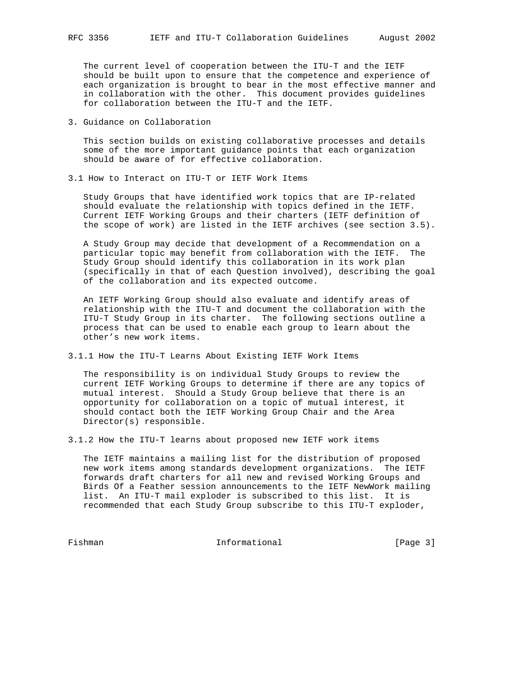The current level of cooperation between the ITU-T and the IETF should be built upon to ensure that the competence and experience of each organization is brought to bear in the most effective manner and in collaboration with the other. This document provides guidelines for collaboration between the ITU-T and the IETF.

3. Guidance on Collaboration

 This section builds on existing collaborative processes and details some of the more important guidance points that each organization should be aware of for effective collaboration.

3.1 How to Interact on ITU-T or IETF Work Items

 Study Groups that have identified work topics that are IP-related should evaluate the relationship with topics defined in the IETF. Current IETF Working Groups and their charters (IETF definition of the scope of work) are listed in the IETF archives (see section 3.5).

 A Study Group may decide that development of a Recommendation on a particular topic may benefit from collaboration with the IETF. The Study Group should identify this collaboration in its work plan (specifically in that of each Question involved), describing the goal of the collaboration and its expected outcome.

 An IETF Working Group should also evaluate and identify areas of relationship with the ITU-T and document the collaboration with the ITU-T Study Group in its charter. The following sections outline a process that can be used to enable each group to learn about the other's new work items.

3.1.1 How the ITU-T Learns About Existing IETF Work Items

 The responsibility is on individual Study Groups to review the current IETF Working Groups to determine if there are any topics of mutual interest. Should a Study Group believe that there is an opportunity for collaboration on a topic of mutual interest, it should contact both the IETF Working Group Chair and the Area Director(s) responsible.

3.1.2 How the ITU-T learns about proposed new IETF work items

 The IETF maintains a mailing list for the distribution of proposed new work items among standards development organizations. The IETF forwards draft charters for all new and revised Working Groups and Birds Of a Feather session announcements to the IETF NewWork mailing list. An ITU-T mail exploder is subscribed to this list. It is recommended that each Study Group subscribe to this ITU-T exploder,

Fishman Informational [Page 3]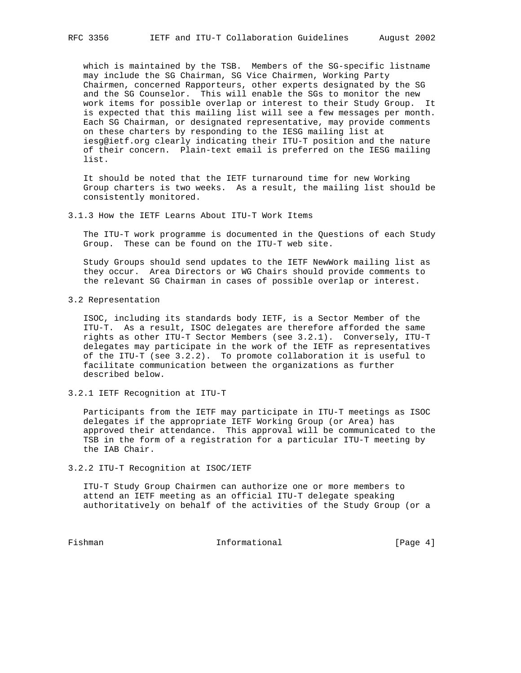which is maintained by the TSB. Members of the SG-specific listname may include the SG Chairman, SG Vice Chairmen, Working Party Chairmen, concerned Rapporteurs, other experts designated by the SG and the SG Counselor. This will enable the SGs to monitor the new work items for possible overlap or interest to their Study Group. It is expected that this mailing list will see a few messages per month. Each SG Chairman, or designated representative, may provide comments on these charters by responding to the IESG mailing list at iesg@ietf.org clearly indicating their ITU-T position and the nature of their concern. Plain-text email is preferred on the IESG mailing list.

 It should be noted that the IETF turnaround time for new Working Group charters is two weeks. As a result, the mailing list should be consistently monitored.

3.1.3 How the IETF Learns About ITU-T Work Items

 The ITU-T work programme is documented in the Questions of each Study Group. These can be found on the ITU-T web site.

 Study Groups should send updates to the IETF NewWork mailing list as they occur. Area Directors or WG Chairs should provide comments to the relevant SG Chairman in cases of possible overlap or interest.

3.2 Representation

 ISOC, including its standards body IETF, is a Sector Member of the ITU-T. As a result, ISOC delegates are therefore afforded the same rights as other ITU-T Sector Members (see 3.2.1). Conversely, ITU-T delegates may participate in the work of the IETF as representatives of the ITU-T (see 3.2.2). To promote collaboration it is useful to facilitate communication between the organizations as further described below.

3.2.1 IETF Recognition at ITU-T

 Participants from the IETF may participate in ITU-T meetings as ISOC delegates if the appropriate IETF Working Group (or Area) has approved their attendance. This approval will be communicated to the TSB in the form of a registration for a particular ITU-T meeting by the IAB Chair.

3.2.2 ITU-T Recognition at ISOC/IETF

 ITU-T Study Group Chairmen can authorize one or more members to attend an IETF meeting as an official ITU-T delegate speaking authoritatively on behalf of the activities of the Study Group (or a

Fishman Informational [Page 4]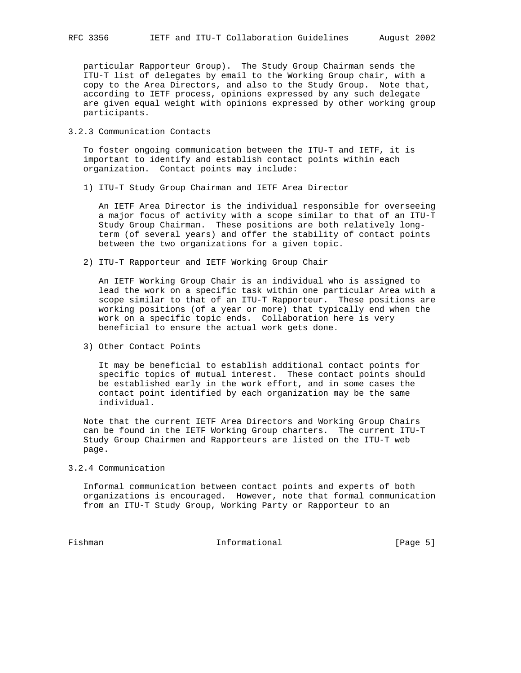particular Rapporteur Group). The Study Group Chairman sends the ITU-T list of delegates by email to the Working Group chair, with a copy to the Area Directors, and also to the Study Group. Note that, according to IETF process, opinions expressed by any such delegate are given equal weight with opinions expressed by other working group participants.

3.2.3 Communication Contacts

 To foster ongoing communication between the ITU-T and IETF, it is important to identify and establish contact points within each organization. Contact points may include:

1) ITU-T Study Group Chairman and IETF Area Director

 An IETF Area Director is the individual responsible for overseeing a major focus of activity with a scope similar to that of an ITU-T Study Group Chairman. These positions are both relatively long term (of several years) and offer the stability of contact points between the two organizations for a given topic.

2) ITU-T Rapporteur and IETF Working Group Chair

 An IETF Working Group Chair is an individual who is assigned to lead the work on a specific task within one particular Area with a scope similar to that of an ITU-T Rapporteur. These positions are working positions (of a year or more) that typically end when the work on a specific topic ends. Collaboration here is very beneficial to ensure the actual work gets done.

3) Other Contact Points

 It may be beneficial to establish additional contact points for specific topics of mutual interest. These contact points should be established early in the work effort, and in some cases the contact point identified by each organization may be the same individual.

 Note that the current IETF Area Directors and Working Group Chairs can be found in the IETF Working Group charters. The current ITU-T Study Group Chairmen and Rapporteurs are listed on the ITU-T web page.

3.2.4 Communication

 Informal communication between contact points and experts of both organizations is encouraged. However, note that formal communication from an ITU-T Study Group, Working Party or Rapporteur to an

Fishman Informational [Page 5]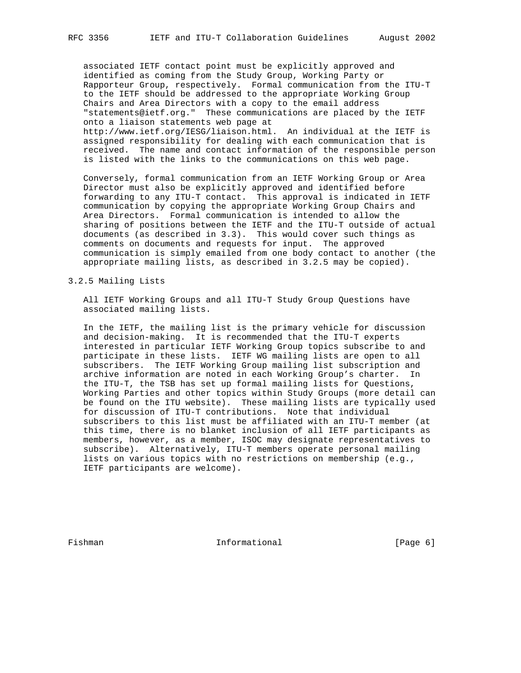associated IETF contact point must be explicitly approved and identified as coming from the Study Group, Working Party or Rapporteur Group, respectively. Formal communication from the ITU-T to the IETF should be addressed to the appropriate Working Group Chairs and Area Directors with a copy to the email address "statements@ietf.org." These communications are placed by the IETF onto a liaison statements web page at http://www.ietf.org/IESG/liaison.html. An individual at the IETF is assigned responsibility for dealing with each communication that is received. The name and contact information of the responsible person is listed with the links to the communications on this web page.

 Conversely, formal communication from an IETF Working Group or Area Director must also be explicitly approved and identified before forwarding to any ITU-T contact. This approval is indicated in IETF communication by copying the appropriate Working Group Chairs and Area Directors. Formal communication is intended to allow the sharing of positions between the IETF and the ITU-T outside of actual documents (as described in 3.3). This would cover such things as comments on documents and requests for input. The approved communication is simply emailed from one body contact to another (the appropriate mailing lists, as described in 3.2.5 may be copied).

## 3.2.5 Mailing Lists

 All IETF Working Groups and all ITU-T Study Group Questions have associated mailing lists.

 In the IETF, the mailing list is the primary vehicle for discussion and decision-making. It is recommended that the ITU-T experts interested in particular IETF Working Group topics subscribe to and participate in these lists. IETF WG mailing lists are open to all subscribers. The IETF Working Group mailing list subscription and archive information are noted in each Working Group's charter. In the ITU-T, the TSB has set up formal mailing lists for Questions, Working Parties and other topics within Study Groups (more detail can be found on the ITU website). These mailing lists are typically used for discussion of ITU-T contributions. Note that individual subscribers to this list must be affiliated with an ITU-T member (at this time, there is no blanket inclusion of all IETF participants as members, however, as a member, ISOC may designate representatives to subscribe). Alternatively, ITU-T members operate personal mailing lists on various topics with no restrictions on membership (e.g., IETF participants are welcome).

Fishman 10 Informational 1999 (Page 6)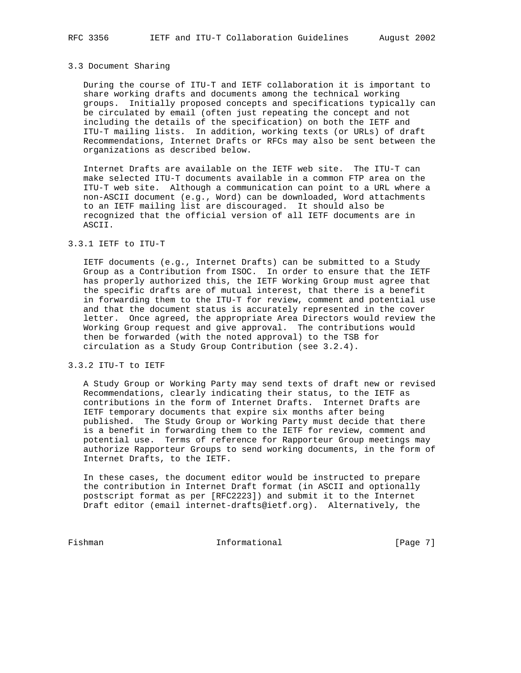#### 3.3 Document Sharing

 During the course of ITU-T and IETF collaboration it is important to share working drafts and documents among the technical working groups. Initially proposed concepts and specifications typically can be circulated by email (often just repeating the concept and not including the details of the specification) on both the IETF and ITU-T mailing lists. In addition, working texts (or URLs) of draft Recommendations, Internet Drafts or RFCs may also be sent between the organizations as described below.

 Internet Drafts are available on the IETF web site. The ITU-T can make selected ITU-T documents available in a common FTP area on the ITU-T web site. Although a communication can point to a URL where a non-ASCII document (e.g., Word) can be downloaded, Word attachments to an IETF mailing list are discouraged. It should also be recognized that the official version of all IETF documents are in ASCII.

#### 3.3.1 IETF to ITU-T

 IETF documents (e.g., Internet Drafts) can be submitted to a Study Group as a Contribution from ISOC. In order to ensure that the IETF has properly authorized this, the IETF Working Group must agree that the specific drafts are of mutual interest, that there is a benefit in forwarding them to the ITU-T for review, comment and potential use and that the document status is accurately represented in the cover letter. Once agreed, the appropriate Area Directors would review the Working Group request and give approval. The contributions would then be forwarded (with the noted approval) to the TSB for circulation as a Study Group Contribution (see 3.2.4).

## 3.3.2 ITU-T to IETF

 A Study Group or Working Party may send texts of draft new or revised Recommendations, clearly indicating their status, to the IETF as contributions in the form of Internet Drafts. Internet Drafts are IETF temporary documents that expire six months after being published. The Study Group or Working Party must decide that there is a benefit in forwarding them to the IETF for review, comment and potential use. Terms of reference for Rapporteur Group meetings may authorize Rapporteur Groups to send working documents, in the form of Internet Drafts, to the IETF.

 In these cases, the document editor would be instructed to prepare the contribution in Internet Draft format (in ASCII and optionally postscript format as per [RFC2223]) and submit it to the Internet Draft editor (email internet-drafts@ietf.org). Alternatively, the

Fishman Informational [Page 7]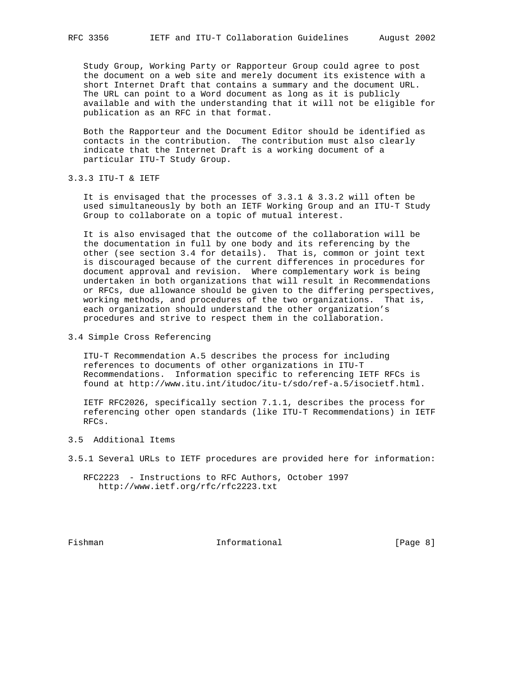Study Group, Working Party or Rapporteur Group could agree to post the document on a web site and merely document its existence with a short Internet Draft that contains a summary and the document URL. The URL can point to a Word document as long as it is publicly available and with the understanding that it will not be eligible for publication as an RFC in that format.

 Both the Rapporteur and the Document Editor should be identified as contacts in the contribution. The contribution must also clearly indicate that the Internet Draft is a working document of a particular ITU-T Study Group.

3.3.3 ITU-T & IETF

 It is envisaged that the processes of 3.3.1 & 3.3.2 will often be used simultaneously by both an IETF Working Group and an ITU-T Study Group to collaborate on a topic of mutual interest.

 It is also envisaged that the outcome of the collaboration will be the documentation in full by one body and its referencing by the other (see section 3.4 for details). That is, common or joint text is discouraged because of the current differences in procedures for document approval and revision. Where complementary work is being undertaken in both organizations that will result in Recommendations or RFCs, due allowance should be given to the differing perspectives, working methods, and procedures of the two organizations. That is, each organization should understand the other organization's procedures and strive to respect them in the collaboration.

3.4 Simple Cross Referencing

 ITU-T Recommendation A.5 describes the process for including references to documents of other organizations in ITU-T Recommendations. Information specific to referencing IETF RFCs is found at http://www.itu.int/itudoc/itu-t/sdo/ref-a.5/isocietf.html.

 IETF RFC2026, specifically section 7.1.1, describes the process for referencing other open standards (like ITU-T Recommendations) in IETF RFCs.

- 3.5 Additional Items
- 3.5.1 Several URLs to IETF procedures are provided here for information:

 RFC2223 - Instructions to RFC Authors, October 1997 http://www.ietf.org/rfc/rfc2223.txt

Fishman 10 Informational 1999 (Page 8)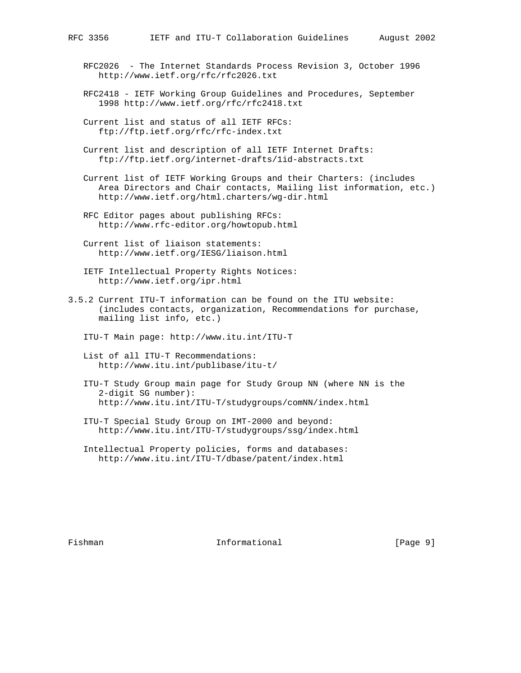- RFC2026 The Internet Standards Process Revision 3, October 1996 http://www.ietf.org/rfc/rfc2026.txt
- RFC2418 IETF Working Group Guidelines and Procedures, September 1998 http://www.ietf.org/rfc/rfc2418.txt
- Current list and status of all IETF RFCs: ftp://ftp.ietf.org/rfc/rfc-index.txt
- Current list and description of all IETF Internet Drafts: ftp://ftp.ietf.org/internet-drafts/1id-abstracts.txt

 Current list of IETF Working Groups and their Charters: (includes Area Directors and Chair contacts, Mailing list information, etc.) http://www.ietf.org/html.charters/wg-dir.html

- RFC Editor pages about publishing RFCs: http://www.rfc-editor.org/howtopub.html
- Current list of liaison statements: http://www.ietf.org/IESG/liaison.html
- IETF Intellectual Property Rights Notices: http://www.ietf.org/ipr.html
- 3.5.2 Current ITU-T information can be found on the ITU website: (includes contacts, organization, Recommendations for purchase, mailing list info, etc.)
	- ITU-T Main page: http://www.itu.int/ITU-T
	- List of all ITU-T Recommendations: http://www.itu.int/publibase/itu-t/
	- ITU-T Study Group main page for Study Group NN (where NN is the 2-digit SG number): http://www.itu.int/ITU-T/studygroups/comNN/index.html
	- ITU-T Special Study Group on IMT-2000 and beyond: http://www.itu.int/ITU-T/studygroups/ssg/index.html
	- Intellectual Property policies, forms and databases: http://www.itu.int/ITU-T/dbase/patent/index.html

Fishman **Informational Informational** [Page 9]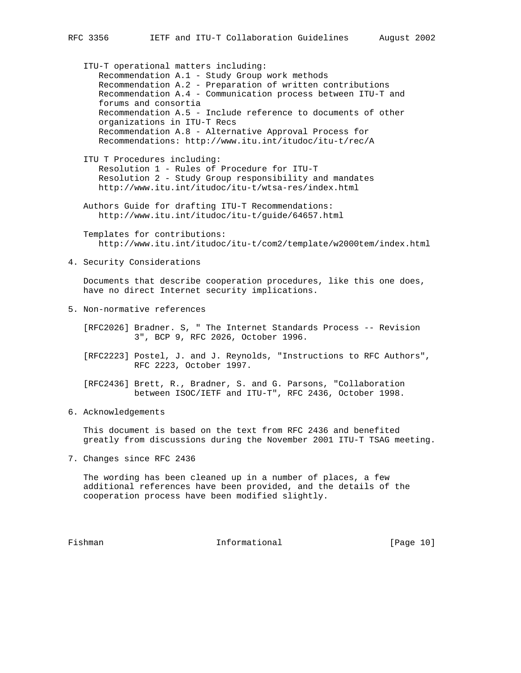ITU-T operational matters including: Recommendation A.1 - Study Group work methods Recommendation A.2 - Preparation of written contributions Recommendation A.4 - Communication process between ITU-T and forums and consortia Recommendation A.5 - Include reference to documents of other organizations in ITU-T Recs Recommendation A.8 - Alternative Approval Process for Recommendations: http://www.itu.int/itudoc/itu-t/rec/A ITU T Procedures including: Resolution 1 - Rules of Procedure for ITU-T Resolution 2 - Study Group responsibility and mandates http://www.itu.int/itudoc/itu-t/wtsa-res/index.html Authors Guide for drafting ITU-T Recommendations: http://www.itu.int/itudoc/itu-t/guide/64657.html Templates for contributions: http://www.itu.int/itudoc/itu-t/com2/template/w2000tem/index.html 4. Security Considerations Documents that describe cooperation procedures, like this one does, have no direct Internet security implications.

5. Non-normative references

 [RFC2026] Bradner. S, " The Internet Standards Process -- Revision 3", BCP 9, RFC 2026, October 1996.

 [RFC2223] Postel, J. and J. Reynolds, "Instructions to RFC Authors", RFC 2223, October 1997.

 [RFC2436] Brett, R., Bradner, S. and G. Parsons, "Collaboration between ISOC/IETF and ITU-T", RFC 2436, October 1998.

6. Acknowledgements

 This document is based on the text from RFC 2436 and benefited greatly from discussions during the November 2001 ITU-T TSAG meeting.

7. Changes since RFC 2436

 The wording has been cleaned up in a number of places, a few additional references have been provided, and the details of the cooperation process have been modified slightly.

Fishman 10 Informational [Page 10]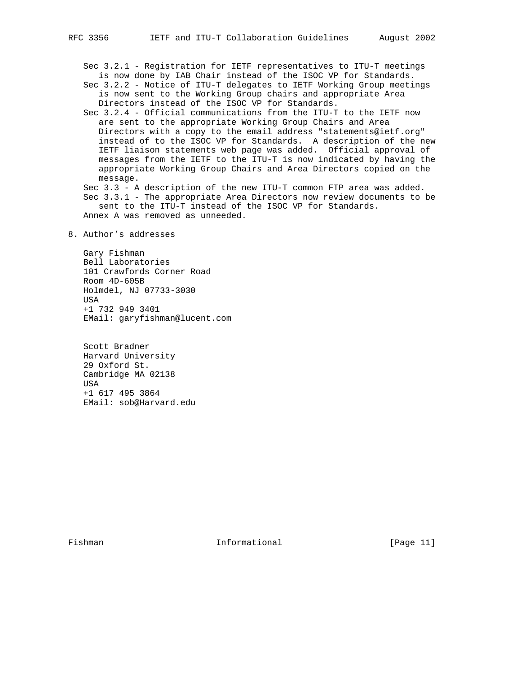Sec 3.2.1 - Registration for IETF representatives to ITU-T meetings is now done by IAB Chair instead of the ISOC VP for Standards.

 Sec 3.2.2 - Notice of ITU-T delegates to IETF Working Group meetings is now sent to the Working Group chairs and appropriate Area Directors instead of the ISOC VP for Standards.

 Sec 3.2.4 - Official communications from the ITU-T to the IETF now are sent to the appropriate Working Group Chairs and Area Directors with a copy to the email address "statements@ietf.org" instead of to the ISOC VP for Standards. A description of the new IETF liaison statements web page was added. Official approval of messages from the IETF to the ITU-T is now indicated by having the appropriate Working Group Chairs and Area Directors copied on the message.

 Sec 3.3 - A description of the new ITU-T common FTP area was added. Sec 3.3.1 - The appropriate Area Directors now review documents to be sent to the ITU-T instead of the ISOC VP for Standards. Annex A was removed as unneeded.

# 8. Author's addresses

 Gary Fishman Bell Laboratories 101 Crawfords Corner Road Room 4D-605B Holmdel, NJ 07733-3030 USA +1 732 949 3401 EMail: garyfishman@lucent.com

 Scott Bradner Harvard University 29 Oxford St. Cambridge MA 02138 USA +1 617 495 3864 EMail: sob@Harvard.edu

Fishman 10 Informational [Page 11]